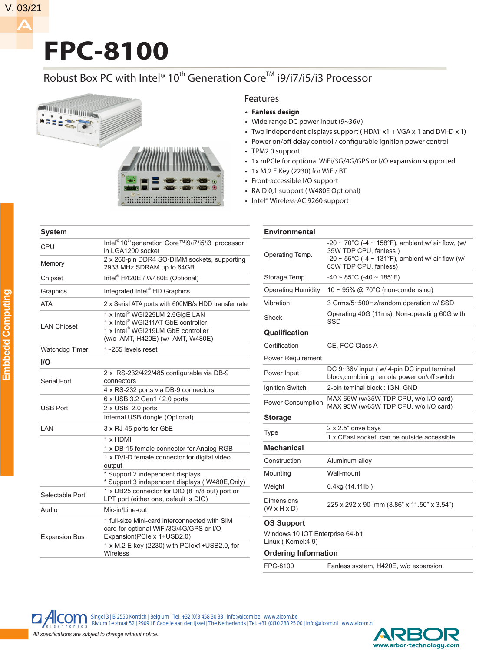## **FPC-8100**

## Robust Box PC with Intel® 10<sup>th</sup> Generation Core<sup>™</sup> i9/i7/i5/i3 Processor



## Features

- **• Fanless design**
- Wide range DC power input (9~36V)
- Two independent displays support ( HDMI x1 + VGA x 1 and DVI-D x 1)
- Power on/off delay control / configurable ignition power control
- TPM2.0 support
- 1x mPCIe for optional WiFi/3G/4G/GPS or I/O expansion supported
- 1x M.2 E Key (2230) for WiFi/ BT
- Front-accessible I/O support
- RAID 0,1 support ( W480E Optional)
- Intel® Wireless-AC 9260 support

| <b>System</b>        |                                                                                                                                                                                       |
|----------------------|---------------------------------------------------------------------------------------------------------------------------------------------------------------------------------------|
| CPU                  | Intel <sup>®</sup> 10 <sup>th</sup> generation Core™i9/i7/i5/i3 processor<br>in LGA1200 socket                                                                                        |
| Memory               | 2 x 260-pin DDR4 SO-DIMM sockets, supporting<br>2933 MHz SDRAM up to 64GB                                                                                                             |
| Chipset              | Intel <sup>®</sup> H420E / W480E (Optional)                                                                                                                                           |
| Graphics             | Integrated Intel <sup>®</sup> HD Graphics                                                                                                                                             |
| ATA                  | 2 x Serial ATA ports with 600MB/s HDD transfer rate                                                                                                                                   |
| <b>LAN Chipset</b>   | 1 x Intel <sup>®</sup> WGI225LM 2.5GigE LAN<br>1 x Intel <sup>®</sup> WGI211AT GbE controller<br>1 x Intel <sup>®</sup> WGI219LM GbE controller<br>(w/o iAMT, H420E) (w/ iAMT, W480E) |
| Watchdog Timer       | 1~255 levels reset                                                                                                                                                                    |
| <b>I/O</b>           |                                                                                                                                                                                       |
| Serial Port          | 2 x RS-232/422/485 configurable via DB-9<br>connectors                                                                                                                                |
|                      | 4 x RS-232 ports via DB-9 connectors                                                                                                                                                  |
| <b>USB Port</b>      | 6 x USB 3.2 Gen1 / 2.0 ports                                                                                                                                                          |
|                      | 2 x USB 2.0 ports<br>Internal USB dongle (Optional)                                                                                                                                   |
| LAN                  | 3 x RJ-45 ports for GbE                                                                                                                                                               |
|                      | 1 x HDMI                                                                                                                                                                              |
|                      | 1 x DB-15 female connector for Analog RGB                                                                                                                                             |
|                      | 1 x DVI-D female connector for digital video<br>output                                                                                                                                |
|                      | * Support 2 independent displays<br>* Support 3 independent displays (W480E,Only)                                                                                                     |
| Selectable Port      | 1 x DB25 connector for DIO (8 in/8 out) port or<br>LPT port (either one, default is DIO)                                                                                              |
| Audio                | Mic-in/Line-out                                                                                                                                                                       |
| <b>Expansion Bus</b> | 1 full-size Mini-card interconnected with SIM<br>card for optional WiFi/3G/4G/GPS or I/O<br>Expansion(PCle x 1+USB2.0)<br>1 x M.2 E key (2230) with PClex1+USB2.0, for<br>Wireless    |
|                      |                                                                                                                                                                                       |

| <b>Environmental</b>                                    |                                                                                                                                                                   |
|---------------------------------------------------------|-------------------------------------------------------------------------------------------------------------------------------------------------------------------|
| Operating Temp.                                         | -20 ~ 70°C (-4 ~ 158°F), ambient w/ air flow, (w/<br>35W TDP CPU, fanless)<br>-20 $\sim$ 55°C (-4 $\sim$ 131°F), ambient w/ air flow (w/<br>65W TDP CPU, fanless) |
| Storage Temp.                                           | $-40 \sim 85^{\circ}$ C (-40 ~ 185°F)                                                                                                                             |
| <b>Operating Humidity</b>                               | 10 ~ 95% @ 70°C (non-condensing)                                                                                                                                  |
| Vibration                                               | 3 Grms/5~500Hz/random operation w/ SSD                                                                                                                            |
| Shock                                                   | Operating 40G (11ms), Non-operating 60G with<br>SSD                                                                                                               |
| Qualification                                           |                                                                                                                                                                   |
| Certification                                           | CE, FCC Class A                                                                                                                                                   |
| <b>Power Requirement</b>                                |                                                                                                                                                                   |
| Power Input                                             | DC 9~36V input (w/ 4-pin DC input terminal<br>block, combining remote power on/off switch                                                                         |
| Ignition Switch                                         | 2-pin teminal block: IGN, GND                                                                                                                                     |
| Power Consumption                                       | MAX 65W (w/35W TDP CPU, w/o I/O card)<br>MAX 95W (w/65W TDP CPU, w/o I/O card)                                                                                    |
| <b>Storage</b>                                          |                                                                                                                                                                   |
| <b>Type</b>                                             | 2 x 2.5" drive bays                                                                                                                                               |
|                                                         | 1 x CFast socket, can be outside accessible                                                                                                                       |
| <b>Mechanical</b>                                       |                                                                                                                                                                   |
| Construction                                            | Aluminum alloy                                                                                                                                                    |
| Mounting                                                | Wall-mount                                                                                                                                                        |
| Weight                                                  | 6.4kg (14.11lb)                                                                                                                                                   |
| Dimensions<br>$(W \times H \times D)$                   | 225 x 292 x 90 mm (8.86" x 11.50" x 3.54")                                                                                                                        |
| <b>OS Support</b>                                       |                                                                                                                                                                   |
| Windows 10 IOT Enterprise 64-bit<br>Linux (Kernel: 4.9) |                                                                                                                                                                   |
| <b>Ordering Information</b>                             |                                                                                                                                                                   |
| FPC-8100                                                | Fanless system, H420E, w/o expansion.                                                                                                                             |
|                                                         |                                                                                                                                                                   |

*All specifications are subject to change without notice.* Singel 3 | B-2550 Kontich | Belgium | Tel. +32 (0)3 458 30 33 | info@alcom.be | www.alcom.be<br>Rivium 1e straat 52 | 2909 LE Capelle aan den Ijssel | The Netherlands | Tel. +31 (0)10 288 25 00 | info@alcom.nl | www.alcom.nl



V. 03/21